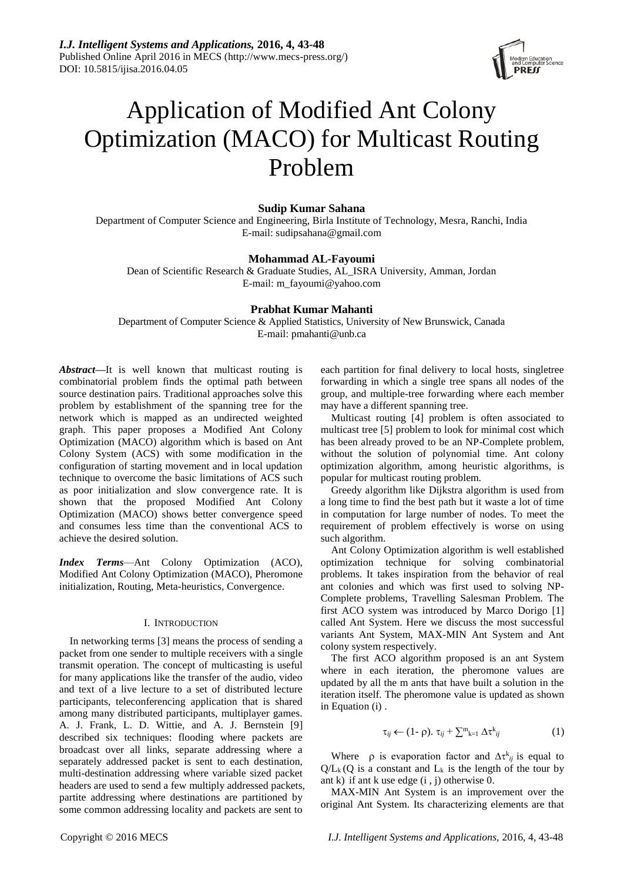

# Application of Modified Ant Colony Optimization (MACO) for Multicast Routing Problem

# **Sudip Kumar Sahana**

Department of Computer Science and Engineering, Birla Institute of Technology, Mesra, Ranchi, India E-mail: sudipsahana@gmail.com

# **Mohammad AL-Fayoumi**

Dean of Scientific Research & Graduate Studies, AL\_ISRA University, Amman, Jordan E-mail: m\_fayoumi@yahoo.com

# **Prabhat Kumar Mahanti**

Department of Computer Science & Applied Statistics, University of New Brunswick, Canada E-mail: pmahanti@unb.ca

*Abstract***—**It is well known that multicast routing is combinatorial problem finds the optimal path between source destination pairs. Traditional approaches solve this problem by establishment of the spanning tree for the network which is mapped as an undirected weighted graph. This paper proposes a Modified Ant Colony Optimization (MACO) algorithm which is based on Ant Colony System (ACS) with some modification in the configuration of starting movement and in local updation technique to overcome the basic limitations of ACS such as poor initialization and slow convergence rate. It is shown that the proposed Modified Ant Colony Optimization (MACO) shows better convergence speed and consumes less time than the conventional ACS to achieve the desired solution.

*Index Terms*—Ant Colony Optimization (ACO), Modified Ant Colony Optimization (MACO), Pheromone initialization, Routing, Meta-heuristics, Convergence.

### I. INTRODUCTION

In networking terms [3] means the process of sending a packet from one sender to multiple receivers with a single transmit operation. The concept of multicasting is useful for many applications like the transfer of the audio, video and text of a live lecture to a set of distributed lecture participants, teleconferencing application that is shared among many distributed participants, multiplayer games. A. J. Frank, L. D. Wittie, and A. J. Bernstein [9] described six techniques: flooding where packets are broadcast over all links, separate addressing where a separately addressed packet is sent to each destination, multi-destination addressing where variable sized packet headers are used to send a few multiply addressed packets, partite addressing where destinations are partitioned by some common addressing locality and packets are sent to

each partition for final delivery to local hosts, singletree forwarding in which a single tree spans all nodes of the group, and multiple-tree forwarding where each member may have a different spanning tree.

Multicast routing [4] problem is often associated to multicast tree [5] problem to look for minimal cost which has been already proved to be an NP-Complete problem, without the solution of polynomial time. Ant colony optimization algorithm, among heuristic algorithms, is popular for multicast routing problem.

Greedy algorithm like Dijkstra algorithm is used from a long time to find the best path but it waste a lot of time in computation for large number of nodes. To meet the requirement of problem effectively is worse on using such algorithm.

Ant Colony Optimization algorithm is well established optimization technique for solving combinatorial problems. It takes inspiration from the behavior of real ant colonies and which was first used to solving NP-Complete problems, Travelling Salesman Problem. The first ACO system was introduced by Marco Dorigo [1] called Ant System. Here we discuss the most successful variants Ant System, MAX-MIN Ant System and Ant colony system respectively.

The first ACO algorithm proposed is an ant System where in each iteration, the pheromone values are updated by all the m ants that have built a solution in the iteration itself. The pheromone value is updated as shown in Equation (i) .

$$
\tau_{ij} \leftarrow (1 - \rho). \ \tau_{ij} + \sum_{k=1}^{m} \Delta \tau_{ij}^{k}
$$
 (1)

Where  $\rho$  is evaporation factor and  $\Delta \tau_{ij}^{k}$  is equal to  $Q/L_k (Q)$  is a constant and  $L_k$  is the length of the tour by ant k) if ant k use edge  $(i, j)$  otherwise 0.

MAX-MIN Ant System is an improvement over the original Ant System. Its characterizing elements are that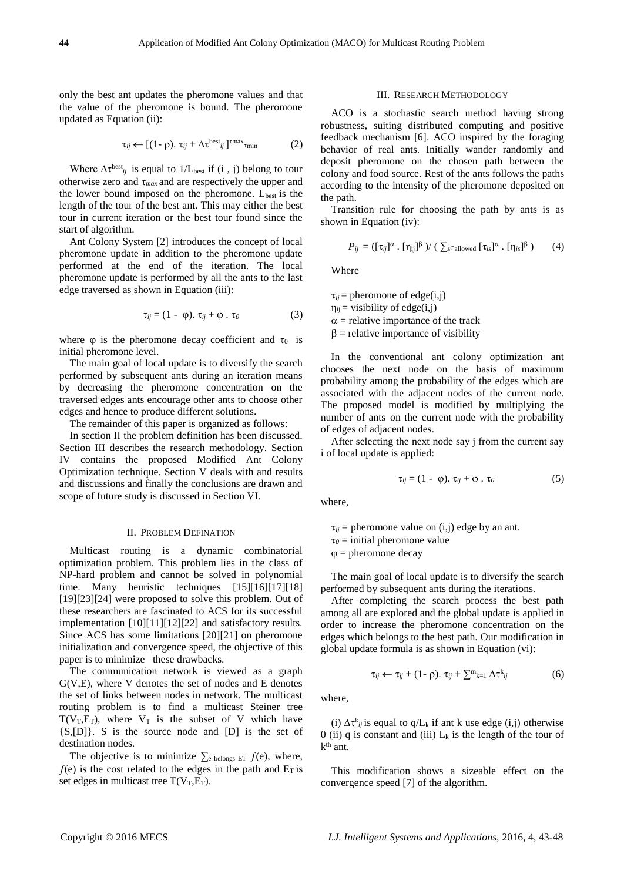only the best ant updates the pheromone values and that the value of the pheromone is bound. The pheromone updated as Equation (ii):

$$
\tau_{ij} \leftarrow [(1-\rho), \tau_{ij} + \Delta \tau^{\text{best}}_{ij}]^{\text{tmax}}_{\text{tmin}}
$$
 (2)

Where  $\Delta \tau^{best}$  is equal to 1/L<sub>best</sub> if (i, j) belong to tour otherwise zero and *max* and are respectively the upper and the lower bound imposed on the pheromone.  $L_{best}$  is the length of the tour of the best ant. This may either the best tour in current iteration or the best tour found since the start of algorithm.

Ant Colony System [2] introduces the concept of local pheromone update in addition to the pheromone update performed at the end of the iteration. The local pheromone update is performed by all the ants to the last edge traversed as shown in Equation (iii):

$$
\tau_{ij} = (1 - \varphi). \ \tau_{ij} + \varphi. \ \tau_0 \tag{3}
$$

where  $\varphi$  is the pheromone decay coefficient and  $\tau_0$  is initial pheromone level.

The main goal of local update is to diversify the search performed by subsequent ants during an iteration means by decreasing the pheromone concentration on the traversed edges ants encourage other ants to choose other edges and hence to produce different solutions.

The remainder of this paper is organized as follows:

In section II the problem definition has been discussed. Section III describes the research methodology. Section IV contains the proposed Modified Ant Colony Optimization technique. Section V deals with and results and discussions and finally the conclusions are drawn and scope of future study is discussed in Section VI.

## II. PROBLEM DEFINATION

Multicast routing is a dynamic combinatorial optimization problem. This problem lies in the class of NP-hard problem and cannot be solved in polynomial time. Many heuristic techniques [15][16][17][18] [19][23][24] were proposed to solve this problem. Out of these researchers are fascinated to ACS for its successful implementation [10][11][12][22] and satisfactory results. Since ACS has some limitations [20][21] on pheromone initialization and convergence speed, the objective of this paper is to minimize these drawbacks.

The communication network is viewed as a graph G(V,E), where V denotes the set of nodes and E denotes the set of links between nodes in network. The multicast routing problem is to find a multicast Steiner tree  $T(V_T, E_T)$ , where  $V_T$  is the subset of V which have {S,[D]}. S is the source node and [D] is the set of destination nodes.

The objective is to minimize  $\sum_{e}$  belongs ET  $f(e)$ , where,  $f(e)$  is the cost related to the edges in the path and  $E_T$  is set edges in multicast tree  $T(V_T, E_T)$ .

#### III. RESEARCH METHODOLOGY

ACO is a stochastic search method having strong robustness, suiting distributed computing and positive feedback mechanism [6]. ACO inspired by the foraging behavior of real ants. Initially wander randomly and deposit pheromone on the chosen path between the colony and food source. Rest of the ants follows the paths according to the intensity of the pheromone deposited on the path.

Transition rule for choosing the path by ants is as shown in Equation (iv):

$$
P_{ij} = (\lbrack \tau_{ij} \rbrack^{\alpha} \cdot \lbrack \eta_{ij} \rbrack^{\beta} ) / (\sum_{s \in \text{allowed}} \lbrack \tau_{is} \rbrack^{\alpha} \cdot \lbrack \eta_{is} \rbrack^{\beta} ) \qquad (4)
$$

Where

 $\tau_{ii}$  = pheromone of edge(i,j)  $\eta_{ii}$  = visibility of edge(i,j)  $\alpha$  = relative importance of the track  $\beta$  = relative importance of visibility

In the conventional ant colony optimization ant chooses the next node on the basis of maximum probability among the probability of the edges which are associated with the adjacent nodes of the current node. The proposed model is modified by multiplying the number of ants on the current node with the probability of edges of adjacent nodes.

After selecting the next node say j from the current say i of local update is applied:

$$
\tau_{ij} = (1 - \varphi). \ \tau_{ij} + \varphi. \ \tau_0 \tag{5}
$$

where,

 $\tau_{ii}$  = pheromone value on (i,j) edge by an ant.  $\tau_0$  = initial pheromone value

 $\varphi$  = pheromone decay

The main goal of local update is to diversify the search performed by subsequent ants during the iterations.

After completing the search process the best path among all are explored and the global update is applied in order to increase the pheromone concentration on the edges which belongs to the best path. Our modification in global update formula is as shown in Equation (vi):

$$
\tau_{ij} \leftarrow \tau_{ij} + (1 - \rho). \ \tau_{ij} + \sum_{k=1}^m \Delta \tau_{ij}^k \tag{6}
$$

where,

(i)  $\Delta \tau^{k}{}_{ij}$  is equal to q/L<sub>k</sub> if ant k use edge (i,j) otherwise 0 (ii) q is constant and (iii)  $L_k$  is the length of the tour of  $k^{th}$  ant.

This modification shows a sizeable effect on the convergence speed [7] of the algorithm.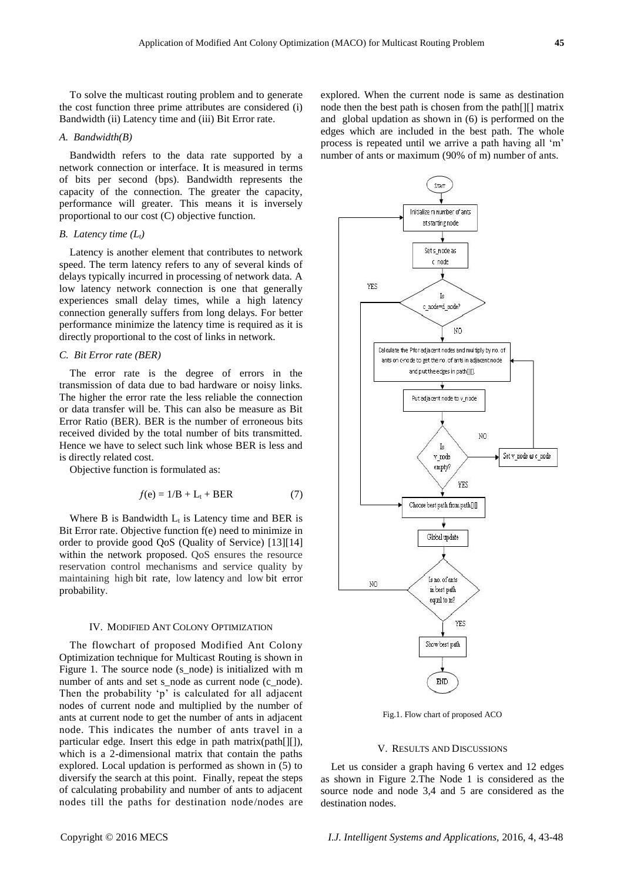To solve the multicast routing problem and to generate the cost function three prime attributes are considered (i) Bandwidth (ii) Latency time and (iii) Bit Error rate.

## *A. Bandwidth(B)*

Bandwidth refers to the data rate supported by a network connection or interface. It is measured in terms of bits per second (bps). Bandwidth represents the capacity of the connection. The greater the capacity, performance will greater. This means it is inversely proportional to our cost (C) objective function.

## *B. Latency time (Lt)*

Latency is another element that contributes to network speed. The term latency refers to any of several kinds of delays typically incurred in processing of network data. A low latency network connection is one that generally experiences small delay times, while a high latency connection generally suffers from long delays. For better performance minimize the latency time is required as it is directly proportional to the cost of links in network.

# *C. Bit Error rate (BER)*

The error rate is the degree of errors in the transmission of data due to bad hardware or noisy links. The higher the error rate the less reliable the connection or data transfer will be. This can also be measure as Bit Error Ratio (BER). BER is the number of erroneous bits received divided by the total number of bits transmitted. Hence we have to select such link whose BER is less and is directly related cost.

Objective function is formulated as:

$$
f(e) = 1/B + L_t + BER \tag{7}
$$

Where B is Bandwidth  $L_t$  is Latency time and BER is Bit Error rate. Objective function f(e) need to minimize in order to provide good QoS (Quality of Service) [13][14] within the network proposed. QoS ensures the resource reservation control mechanisms and service quality by maintaining high bit rate, low latency and low bit error probability.

### IV. MODIFIED ANT COLONY OPTIMIZATION

The flowchart of proposed Modified Ant Colony Optimization technique for Multicast Routing is shown in Figure 1. The source node (s\_node) is initialized with m number of ants and set s\_node as current node (c\_node). Then the probability 'p' is calculated for all adjacent nodes of current node and multiplied by the number of ants at current node to get the number of ants in adjacent node. This indicates the number of ants travel in a particular edge. Insert this edge in path matrix(path[][]), which is a 2-dimensional matrix that contain the paths explored. Local updation is performed as shown in (5) to diversify the search at this point. Finally, repeat the steps of calculating probability and number of ants to adjacent nodes till the paths for destination node/nodes are explored. When the current node is same as destination node then the best path is chosen from the path[][] matrix and global updation as shown in (6) is performed on the edges which are included in the best path. The whole process is repeated until we arrive a path having all 'm' number of ants or maximum (90% of m) number of ants.



Fig.1. Flow chart of proposed ACO

#### V. RESULTS AND DISCUSSIONS

Let us consider a graph having 6 vertex and 12 edges as shown in Figure 2.The Node 1 is considered as the source node and node 3,4 and 5 are considered as the destination nodes.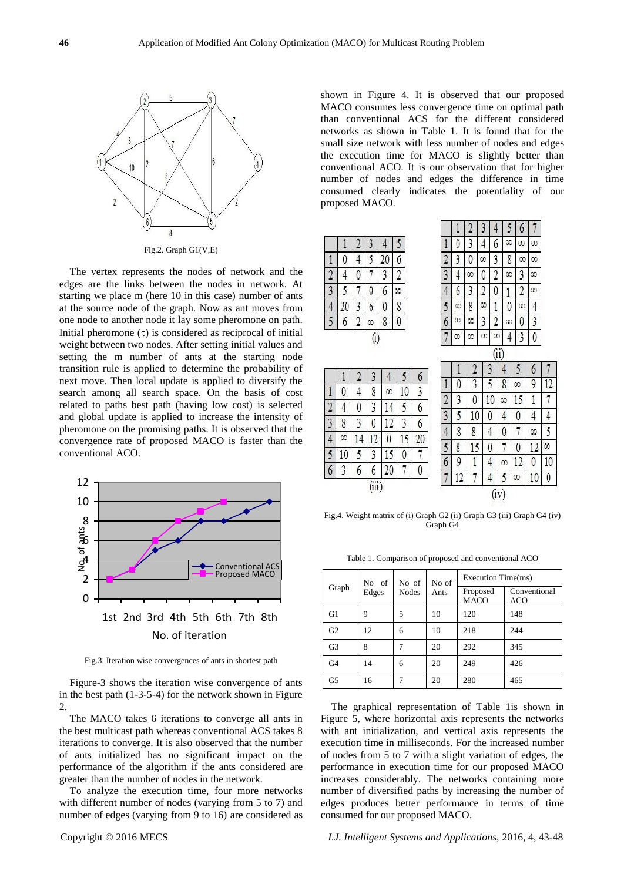

Fig.2. Graph G1(V,E)

The vertex represents the nodes of network and the edges are the links between the nodes in network. At starting we place m (here 10 in this case) number of ants at the source node of the graph. Now as ant moves from one node to another node it lay some pheromone on path. Initial pheromone  $(\tau)$  is considered as reciprocal of initial weight between two nodes. After setting initial values and setting the m number of ants at the starting node transition rule is applied to determine the probability of next move. Then local update is applied to diversify the search among all search space. On the basis of cost related to paths best path (having low cost) is selected and global update is applied to increase the intensity of pheromone on the promising paths. It is observed that the convergence rate of proposed MACO is faster than the conventional ACO.



Fig.3. Iteration wise convergences of ants in shortest path

Figure-3 shows the iteration wise convergence of ants in the best path (1-3-5-4) for the network shown in Figure  $\mathcal{D}_{\mathcal{L}}$ 

The MACO takes 6 iterations to converge all ants in the best multicast path whereas conventional ACS takes 8 iterations to converge. It is also observed that the number of ants initialized has no significant impact on the performance of the algorithm if the ants considered are greater than the number of nodes in the network.

To analyze the execution time, four more networks with different number of nodes (varying from 5 to 7) and number of edges (varying from 9 to 16) are considered as

shown in Figure 4. It is observed that our proposed MACO consumes less convergence time on optimal path than conventional ACS for the different considered networks as shown in Table 1. It is found that for the small size network with less number of nodes and edges the execution time for MACO is slightly better than conventional ACO. It is our observation that for higher number of nodes and edges the difference in time consumed clearly indicates the potentiality of our proposed MACO.



12

4

5

œ

10

 $\theta$ 

Fig.4. Weight matrix of (i) Graph G2 (ii) Graph G3 (iii) Graph G4 (iv) Graph G4

Table 1. Comparison of proposed and conventional ACO

| Graph          | No of<br>Edges | No of<br><b>Nodes</b> | No of<br>Ants | Execution Time(ms)      |                            |
|----------------|----------------|-----------------------|---------------|-------------------------|----------------------------|
|                |                |                       |               | Proposed<br><b>MACO</b> | Conventional<br><b>ACO</b> |
| G1             | 9              | 5                     | 10            | 120                     | 148                        |
| G <sub>2</sub> | 12             | 6                     | 10            | 218                     | 244                        |
| G <sub>3</sub> | 8              |                       | 20            | 292                     | 345                        |
| G4             | 14             | 6                     | 20            | 249                     | 426                        |
| G <sub>5</sub> | 16             | 7                     | 20            | 280                     | 465                        |

The graphical representation of Table 1is shown in Figure 5, where horizontal axis represents the networks with ant initialization, and vertical axis represents the execution time in milliseconds. For the increased number of nodes from 5 to 7 with a slight variation of edges, the performance in execution time for our proposed MACO increases considerably. The networks containing more number of diversified paths by increasing the number of edges produces better performance in terms of time consumed for our proposed MACO.

## Copyright © 2016 MECS *I.J. Intelligent Systems and Applications,* 2016, 4, 43-48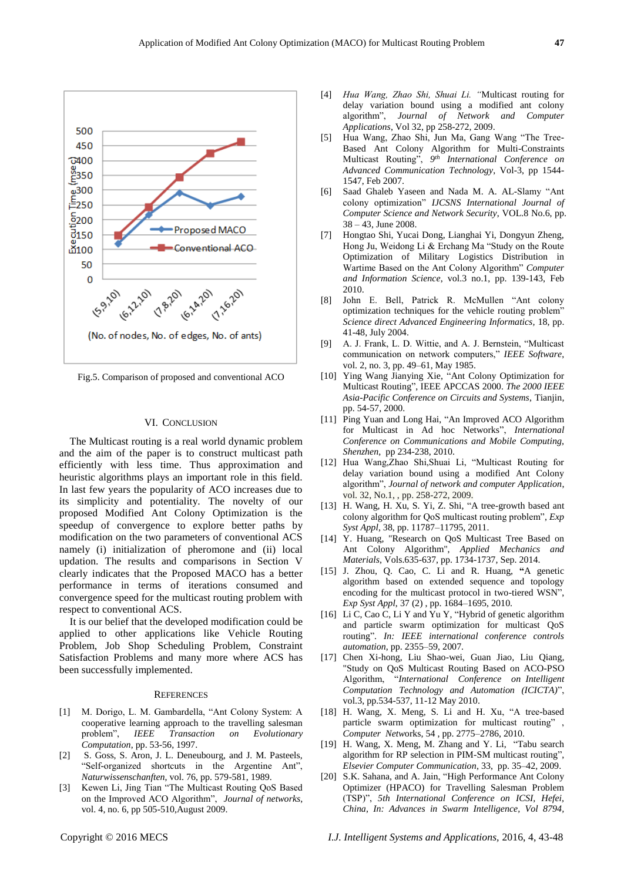

Fig.5. Comparison of proposed and conventional ACO

#### VI. CONCLUSION

The Multicast routing is a real world dynamic problem and the aim of the paper is to construct multicast path efficiently with less time. Thus approximation and heuristic algorithms plays an important role in this field. In last few years the popularity of ACO increases due to its simplicity and potentiality. The novelty of our proposed Modified Ant Colony Optimization is the speedup of convergence to explore better paths by modification on the two parameters of conventional ACS namely (i) initialization of pheromone and (ii) local updation. The results and comparisons in Section V clearly indicates that the Proposed MACO has a better performance in terms of iterations consumed and convergence speed for the multicast routing problem with respect to conventional ACS.

It is our belief that the developed modification could be applied to other applications like Vehicle Routing Problem, Job Shop Scheduling Problem, Constraint Satisfaction Problems and many more where ACS has been successfully implemented.

#### **REFERENCES**

- [1] M. Dorigo, L. M. Gambardella, "Ant Colony System: A cooperative learning approach to the travelling salesman problem", *IEEE Transaction on Evolutionary Computation*, pp. 53-56, 1997.
- [2] S. Goss, S. Aron, J. L. Deneubourg, and J. M. Pasteels, "Self-organized shortcuts in the Argentine Ant", *Naturwissenschanften*, vol. 76, pp. 579-581, 1989.
- [3] Kewen Li, Jing Tian "The Multicast Routing QoS Based on the Improved ACO Algorithm", *Journal of networks*, vol. 4, no. 6, pp 505-510,August 2009.
- [4] *Hua Wang, Zhao Shi, Shuai Li. "*Multicast routing for delay variation bound using a modified ant colony algorithm", *Journal of Network and Computer Applications*, Vol 32, pp 258-272, 2009.
- [5] Hua Wang, Zhao Shi, Jun Ma, Gang Wang "The Tree-Based Ant Colony Algorithm for Multi-Constraints Multicast Routing", *9 th International Conference on Advanced Communication Technology*, Vol-3, pp 1544- 1547, Feb 2007.
- [6] Saad Ghaleb Yaseen and Nada M. A. AL-Slamy "Ant colony optimization" *IJCSNS International Journal of Computer Science and Network Security*, VOL.8 No.6, pp. 38 – 43, June 2008.
- [7] Hongtao Shi, Yucai Dong, Lianghai Yi, Dongyun Zheng, Hong Ju, Weidong Li & Erchang Ma "Study on the Route Optimization of Military Logistics Distribution in Wartime Based on the Ant Colony Algorithm" *Computer and Information Science*, vol.3 no.1, pp. 139-143, Feb 2010.
- [8] John E. Bell, Patrick R. McMullen "Ant colony optimization techniques for the vehicle routing problem" *Science direct Advanced Engineering Informatics,* 18, pp. 41-48, July 2004.
- [9] A. J. Frank, L. D. Wittie, and A. J. Bernstein, "Multicast communication on network computers," *IEEE Software*, vol. 2, no. 3, pp. 49–61, May 1985.
- [10] Ying Wang Jianying Xie, "Ant Colony Optimization for Multicast Routing", IEEE APCCAS 2000. *The 2000 IEEE Asia-Pacific Conference on Circuits and Systems*, Tianjin, pp. 54-57, 2000.
- [11] Ping Yuan and Long Hai, "An Improved ACO Algorithm for Multicast in Ad hoc Networks", *International Conference on Communications and Mobile Computing, Shenzhen*, pp 234-238, 2010.
- [12] Hua Wang,Zhao Shi,Shuai Li, "Multicast Routing for delay variation bound using a modified Ant Colony algorithm", *Journal of network and computer Application*, vol. 32, No.1, , pp. 258-272, 2009.
- [13] H. Wang, H. Xu, S. Yi, Z. Shi, "A tree-growth based ant colony algorithm for QoS multicast routing problem", *Exp Syst Appl*, 38, pp. 11787–11795, 2011.
- [14] Y. Huang, "Research on QoS Multicast Tree Based on Ant Colony Algorithm", *Applied Mechanics and Materials*, Vols.635-637, pp. 1734-1737, Sep. 2014.
- [15] J. Zhou, Q. Cao, C. Li and R. Huang, **"**A genetic algorithm based on extended sequence and topology encoding for the multicast protocol in two-tiered WSN" *Exp Syst Appl*, 37 (2) , pp. 1684–1695, 2010.
- [16] Li C, Cao C, Li Y and Yu Y, "Hybrid of genetic algorithm and particle swarm optimization for multicast QoS routing". *In: IEEE international conference controls automation*, pp. 2355–59, 2007.
- [17] Chen Xi-hong, Liu Shao-wei, Guan Jiao, Liu Qiang, "Study on QoS Multicast Routing Based on ACO-PSO Algorithm, "*International Conference on Intelligent Computation Technology and Automation (ICICTA)*", vol.3, pp.534-537, 11-12 May 2010.
- [18] H. Wang, X. Meng, S. Li and H. Xu, "A tree-based particle swarm optimization for multicast routing" , *Computer Netw*orks, 54 , pp. 2775–2786, 2010.
- [19] H. Wang, X. Meng, M. Zhang and Y. Li, "Tabu search algorithm for RP selection in PIM-SM multicast routing", *Elsevier Computer Communication*, 33, pp. 35–42, 2009.
- [20] S.K. Sahana, and A. Jain, "High Performance Ant Colony Optimizer (HPACO) for Travelling Salesman Problem (TSP)", *5th International Conference on ICSI, Hefei, China*, *In: Advances in Swarm Intelligence, Vol 8794,*